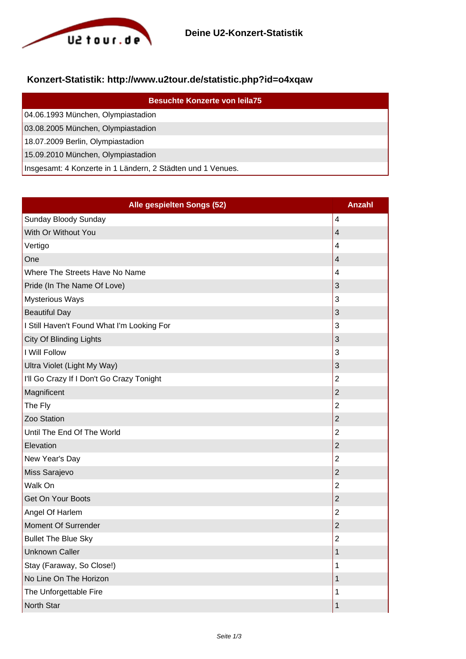

## **Konzert-Statistik: http://www.u2tour.de/statistic.php?id=o4xqaw**

| <b>Besuchte Konzerte von leila75</b>                        |
|-------------------------------------------------------------|
| 04.06.1993 München, Olympiastadion                          |
| 03.08.2005 München, Olympiastadion                          |
| 18.07.2009 Berlin, Olympiastadion                           |
| 15.09.2010 München, Olympiastadion                          |
| Insgesamt: 4 Konzerte in 1 Ländern, 2 Städten und 1 Venues. |

| Alle gespielten Songs (52)                 | <b>Anzahl</b>           |
|--------------------------------------------|-------------------------|
| Sunday Bloody Sunday                       | $\overline{\mathbf{4}}$ |
| With Or Without You                        | $\overline{4}$          |
| Vertigo                                    | $\overline{4}$          |
| One                                        | 4                       |
| Where The Streets Have No Name             | 4                       |
| Pride (In The Name Of Love)                | 3                       |
| <b>Mysterious Ways</b>                     | 3                       |
| <b>Beautiful Day</b>                       | 3                       |
| I Still Haven't Found What I'm Looking For | 3                       |
| <b>City Of Blinding Lights</b>             | $\mathsf 3$             |
| I Will Follow                              | 3                       |
| Ultra Violet (Light My Way)                | $\mathsf 3$             |
| I'll Go Crazy If I Don't Go Crazy Tonight  | $\overline{2}$          |
| Magnificent                                | $\overline{2}$          |
| The Fly                                    | $\overline{2}$          |
| Zoo Station                                | $\overline{2}$          |
| Until The End Of The World                 | $\overline{2}$          |
| Elevation                                  | $\overline{2}$          |
| New Year's Day                             | $\overline{2}$          |
| Miss Sarajevo                              | $\overline{2}$          |
| Walk On                                    | $\overline{2}$          |
| <b>Get On Your Boots</b>                   | $\overline{2}$          |
| Angel Of Harlem                            | $\overline{2}$          |
| Moment Of Surrender                        | $\mathbf 2$             |
| <b>Bullet The Blue Sky</b>                 | $\overline{2}$          |
| <b>Unknown Caller</b>                      | 1                       |
| Stay (Faraway, So Close!)                  | 1                       |
| No Line On The Horizon                     | 1                       |
| The Unforgettable Fire                     | 1                       |
| North Star                                 | 1                       |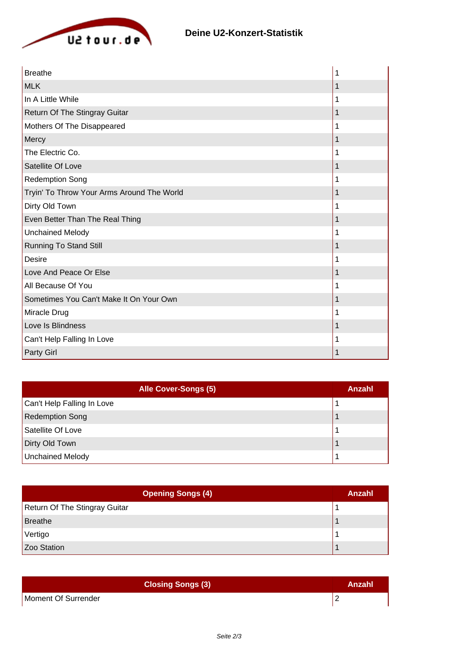

| <b>Breathe</b>                             |   |
|--------------------------------------------|---|
| <b>MLK</b>                                 |   |
| In A Little While                          | 1 |
| Return Of The Stingray Guitar              | 1 |
| Mothers Of The Disappeared                 | 1 |
| Mercy                                      | 1 |
| The Electric Co.                           |   |
| Satellite Of Love                          |   |
| <b>Redemption Song</b>                     |   |
| Tryin' To Throw Your Arms Around The World |   |
| Dirty Old Town                             |   |
| Even Better Than The Real Thing            |   |
| <b>Unchained Melody</b>                    | 1 |
| <b>Running To Stand Still</b>              | 1 |
| <b>Desire</b>                              |   |
| Love And Peace Or Else                     |   |
| All Because Of You                         | 1 |
| Sometimes You Can't Make It On Your Own    |   |
| Miracle Drug                               |   |
| Love Is Blindness                          |   |
| Can't Help Falling In Love                 | 1 |
| Party Girl                                 |   |

| Alle Cover-Songs (5)       | Anzahl |
|----------------------------|--------|
| Can't Help Falling In Love |        |
| <b>Redemption Song</b>     |        |
| Satellite Of Love          |        |
| Dirty Old Town             |        |
| <b>Unchained Melody</b>    |        |

| <b>Opening Songs (4)</b>      | Anzahl |
|-------------------------------|--------|
| Return Of The Stingray Guitar |        |
| Breathe                       |        |
| Vertigo                       |        |
| Zoo Station                   |        |

| <b>Closing Songs (3)</b> | Anzahl |
|--------------------------|--------|
| Moment Of Surrender      |        |